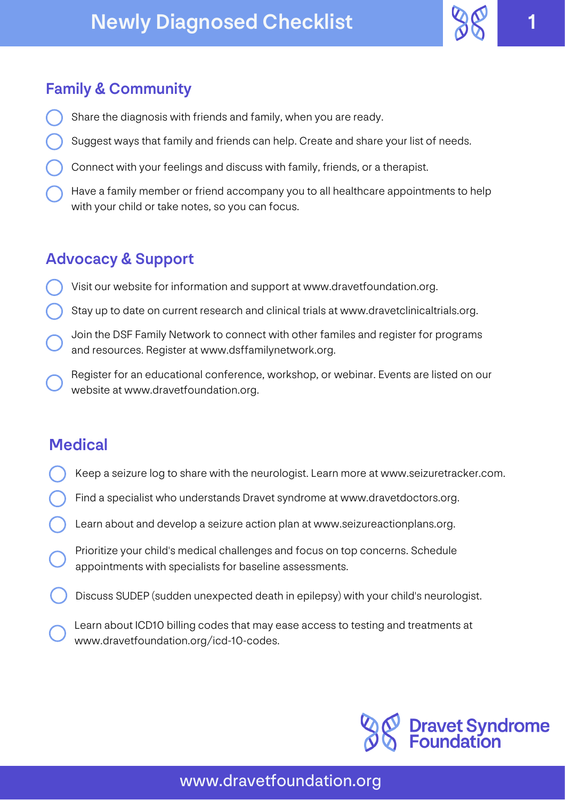# Newly Diagnosed Checklist 1



### Family & Community

- Share the diagnosis with friends and family, when you are ready.
- Suggest ways that family and friends can help. Create and share your list of needs.
- Connect with your feelings and discuss with family, friends, or a therapist.
- Have a family member or friend accompany you to all healthcare appointments to help with your child or take notes, so you can focus.

#### Advocacy & Support

- Visit our website for information and support at www.dravetfoundation.org.
- Stay up to date on current research and clinical trials at www.dravetclinicaltrials.org.
- Join the DSF Family Network to connect with other familes and register for programs and resources. Register at www.dsffamilynetwork.org.
- Register for an educational conference, workshop, or webinar. Events are listed on our website at www.dravetfoundation.org.

## **Medical**

- Keep a seizure log to share with the neurologist. Learn more at www.seizuretracker.com.
- Find a specialist who understands Dravet syndrome at www.dravetdoctors.org.
- Learn about and develop a seizure action plan at www.seizureactionplans.org.
- Prioritize your child's medical challenges and focus on top concerns. Schedule appointments with specialists for baseline assessments.
- Discuss SUDEP (sudden unexpected death in epilepsy) with your child's neurologist.
	- Learn about ICD10 billing codes that may ease access to testing and treatments at www.dravetfoundation.org/icd-10-codes.



www.dravetfoundation.org